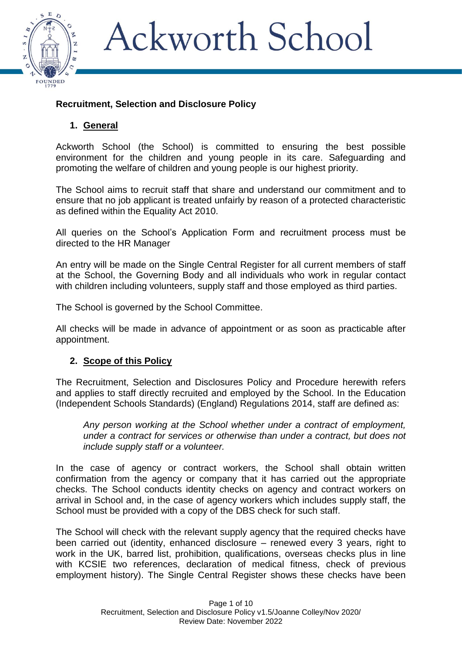

### **Recruitment, Selection and Disclosure Policy**

### **1. General**

Ackworth School (the School) is committed to ensuring the best possible environment for the children and young people in its care. Safeguarding and promoting the welfare of children and young people is our highest priority.

The School aims to recruit staff that share and understand our commitment and to ensure that no job applicant is treated unfairly by reason of a protected characteristic as defined within the Equality Act 2010.

All queries on the School's Application Form and recruitment process must be directed to the HR Manager

An entry will be made on the Single Central Register for all current members of staff at the School, the Governing Body and all individuals who work in regular contact with children including volunteers, supply staff and those employed as third parties.

The School is governed by the School Committee.

All checks will be made in advance of appointment or as soon as practicable after appointment.

#### **2. Scope of this Policy**

The Recruitment, Selection and Disclosures Policy and Procedure herewith refers and applies to staff directly recruited and employed by the School. In the Education (Independent Schools Standards) (England) Regulations 2014, staff are defined as:

*Any person working at the School whether under a contract of employment, under a contract for services or otherwise than under a contract, but does not include supply staff or a volunteer.*

In the case of agency or contract workers, the School shall obtain written confirmation from the agency or company that it has carried out the appropriate checks. The School conducts identity checks on agency and contract workers on arrival in School and, in the case of agency workers which includes supply staff, the School must be provided with a copy of the DBS check for such staff.

The School will check with the relevant supply agency that the required checks have been carried out (identity, enhanced disclosure – renewed every 3 years, right to work in the UK, barred list, prohibition, qualifications, overseas checks plus in line with KCSIE two references, declaration of medical fitness, check of previous employment history). The Single Central Register shows these checks have been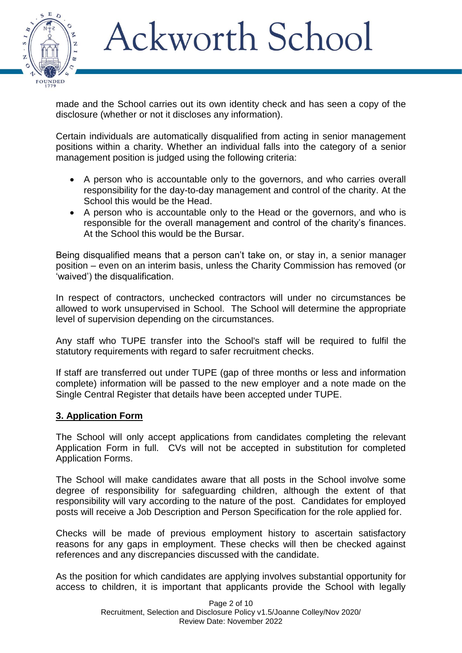

made and the School carries out its own identity check and has seen a copy of the disclosure (whether or not it discloses any information).

Certain individuals are automatically disqualified from acting in senior management positions within a charity. Whether an individual falls into the category of a senior management position is judged using the following criteria:

- A person who is accountable only to the governors, and who carries overall responsibility for the day-to-day management and control of the charity. At the School this would be the Head.
- A person who is accountable only to the Head or the governors, and who is responsible for the overall management and control of the charity's finances. At the School this would be the Bursar.

Being disqualified means that a person can't take on, or stay in, a senior manager position – even on an interim basis, unless the Charity Commission has removed (or 'waived') the disqualification.

In respect of contractors, unchecked contractors will under no circumstances be allowed to work unsupervised in School. The School will determine the appropriate level of supervision depending on the circumstances.

Any staff who TUPE transfer into the School's staff will be required to fulfil the statutory requirements with regard to safer recruitment checks.

If staff are transferred out under TUPE (gap of three months or less and information complete) information will be passed to the new employer and a note made on the Single Central Register that details have been accepted under TUPE.

#### **3. Application Form**

The School will only accept applications from candidates completing the relevant Application Form in full. CVs will not be accepted in substitution for completed Application Forms.

The School will make candidates aware that all posts in the School involve some degree of responsibility for safeguarding children, although the extent of that responsibility will vary according to the nature of the post. Candidates for employed posts will receive a Job Description and Person Specification for the role applied for.

Checks will be made of previous employment history to ascertain satisfactory reasons for any gaps in employment. These checks will then be checked against references and any discrepancies discussed with the candidate.

As the position for which candidates are applying involves substantial opportunity for access to children, it is important that applicants provide the School with legally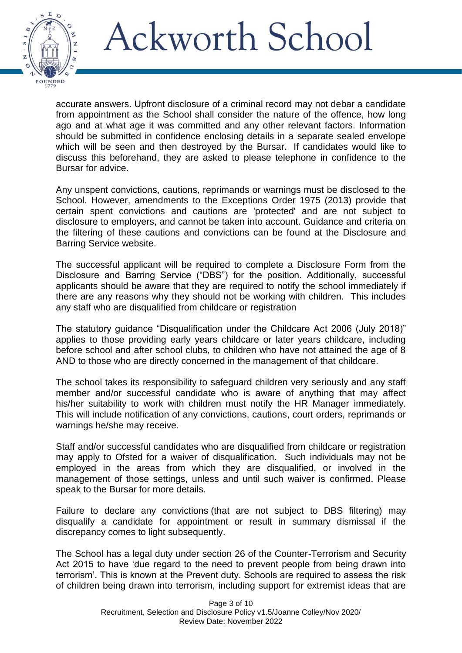

accurate answers. Upfront disclosure of a criminal record may not debar a candidate from appointment as the School shall consider the nature of the offence, how long ago and at what age it was committed and any other relevant factors. Information should be submitted in confidence enclosing details in a separate sealed envelope which will be seen and then destroyed by the Bursar. If candidates would like to discuss this beforehand, they are asked to please telephone in confidence to the Bursar for advice.

Any unspent convictions, cautions, reprimands or warnings must be disclosed to the School. However, amendments to the Exceptions Order 1975 (2013) provide that certain spent convictions and cautions are 'protected' and are not subject to disclosure to employers, and cannot be taken into account. Guidance and criteria on the filtering of these cautions and convictions can be found at the Disclosure and Barring Service website.

The successful applicant will be required to complete a Disclosure Form from the Disclosure and Barring Service ("DBS") for the position. Additionally, successful applicants should be aware that they are required to notify the school immediately if there are any reasons why they should not be working with children. This includes any staff who are disqualified from childcare or registration

The statutory guidance "Disqualification under the Childcare Act 2006 (July 2018)" applies to those providing early years childcare or later years childcare, including before school and after school clubs, to children who have not attained the age of 8 AND to those who are directly concerned in the management of that childcare.

The school takes its responsibility to safeguard children very seriously and any staff member and/or successful candidate who is aware of anything that may affect his/her suitability to work with children must notify the HR Manager immediately. This will include notification of any convictions, cautions, court orders, reprimands or warnings he/she may receive.

Staff and/or successful candidates who are disqualified from childcare or registration may apply to Ofsted for a waiver of disqualification. Such individuals may not be employed in the areas from which they are disqualified, or involved in the management of those settings, unless and until such waiver is confirmed. Please speak to the Bursar for more details.

Failure to declare any convictions (that are not subject to DBS filtering) may disqualify a candidate for appointment or result in summary dismissal if the discrepancy comes to light subsequently.

The School has a legal duty under section 26 of the Counter-Terrorism and Security Act 2015 to have 'due regard to the need to prevent people from being drawn into terrorism'. This is known at the Prevent duty. Schools are required to assess the risk of children being drawn into terrorism, including support for extremist ideas that are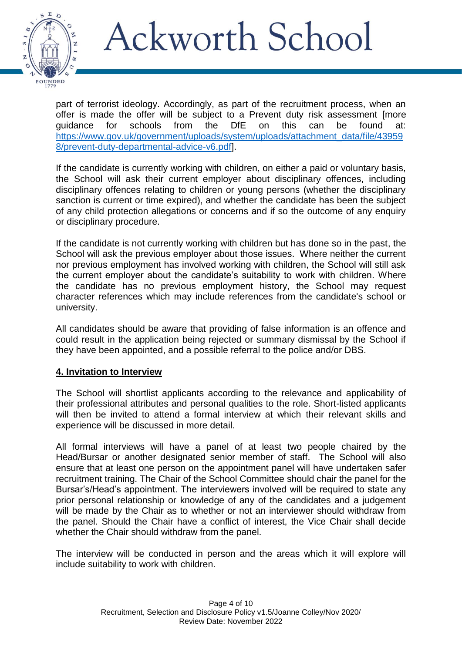

part of terrorist ideology. Accordingly, as part of the recruitment process, when an offer is made the offer will be subject to a Prevent duty risk assessment [more guidance for schools from the DfE on this can be found at: [https://www.gov.uk/government/uploads/system/uploads/attachment\\_data/file/43959](https://www.gov.uk/government/uploads/system/uploads/attachment_data/file/439598/prevent-duty-departmental-advice-v6.pdf) [8/prevent-duty-departmental-advice-v6.pdf\]](https://www.gov.uk/government/uploads/system/uploads/attachment_data/file/439598/prevent-duty-departmental-advice-v6.pdf).

If the candidate is currently working with children, on either a paid or voluntary basis, the School will ask their current employer about disciplinary offences, including disciplinary offences relating to children or young persons (whether the disciplinary sanction is current or time expired), and whether the candidate has been the subject of any child protection allegations or concerns and if so the outcome of any enquiry or disciplinary procedure.

If the candidate is not currently working with children but has done so in the past, the School will ask the previous employer about those issues. Where neither the current nor previous employment has involved working with children, the School will still ask the current employer about the candidate's suitability to work with children. Where the candidate has no previous employment history, the School may request character references which may include references from the candidate's school or university.

All candidates should be aware that providing of false information is an offence and could result in the application being rejected or summary dismissal by the School if they have been appointed, and a possible referral to the police and/or DBS.

#### **4. Invitation to Interview**

The School will shortlist applicants according to the relevance and applicability of their professional attributes and personal qualities to the role. Short-listed applicants will then be invited to attend a formal interview at which their relevant skills and experience will be discussed in more detail.

All formal interviews will have a panel of at least two people chaired by the Head/Bursar or another designated senior member of staff. The School will also ensure that at least one person on the appointment panel will have undertaken safer recruitment training. The Chair of the School Committee should chair the panel for the Bursar's/Head's appointment. The interviewers involved will be required to state any prior personal relationship or knowledge of any of the candidates and a judgement will be made by the Chair as to whether or not an interviewer should withdraw from the panel. Should the Chair have a conflict of interest, the Vice Chair shall decide whether the Chair should withdraw from the panel.

The interview will be conducted in person and the areas which it will explore will include suitability to work with children.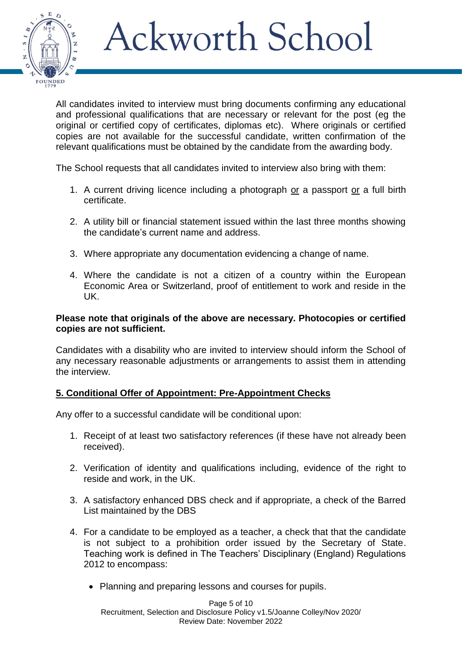

All candidates invited to interview must bring documents confirming any educational and professional qualifications that are necessary or relevant for the post (eg the original or certified copy of certificates, diplomas etc). Where originals or certified copies are not available for the successful candidate, written confirmation of the relevant qualifications must be obtained by the candidate from the awarding body.

The School requests that all candidates invited to interview also bring with them:

- 1. A current driving licence including a photograph or a passport or a full birth certificate.
- 2. A utility bill or financial statement issued within the last three months showing the candidate's current name and address.
- 3. Where appropriate any documentation evidencing a change of name.
- 4. Where the candidate is not a citizen of a country within the European Economic Area or Switzerland, proof of entitlement to work and reside in the UK.

#### **Please note that originals of the above are necessary. Photocopies or certified copies are not sufficient.**

Candidates with a disability who are invited to interview should inform the School of any necessary reasonable adjustments or arrangements to assist them in attending the interview.

### **5. Conditional Offer of Appointment: Pre-Appointment Checks**

Any offer to a successful candidate will be conditional upon:

- 1. Receipt of at least two satisfactory references (if these have not already been received).
- 2. Verification of identity and qualifications including, evidence of the right to reside and work, in the UK.
- 3. A satisfactory enhanced DBS check and if appropriate, a check of the Barred List maintained by the DBS
- 4. For a candidate to be employed as a teacher, a check that that the candidate is not subject to a prohibition order issued by the Secretary of State. Teaching work is defined in The Teachers' Disciplinary (England) Regulations 2012 to encompass:
	- Planning and preparing lessons and courses for pupils.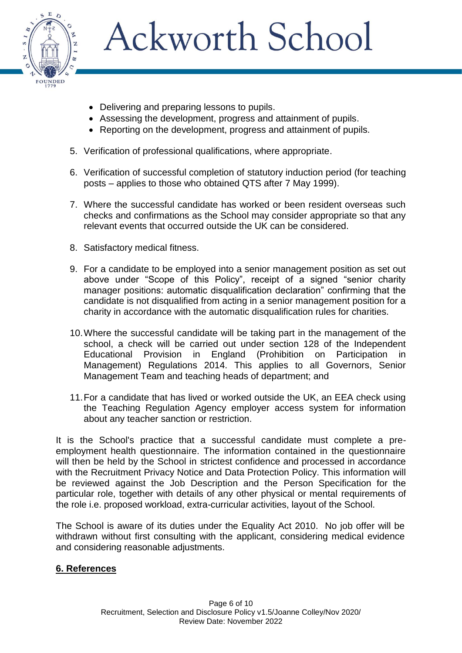

- Delivering and preparing lessons to pupils.
- Assessing the development, progress and attainment of pupils.
- Reporting on the development, progress and attainment of pupils.
- 5. Verification of professional qualifications, where appropriate.
- 6. Verification of successful completion of statutory induction period (for teaching posts – applies to those who obtained QTS after 7 May 1999).
- 7. Where the successful candidate has worked or been resident overseas such checks and confirmations as the School may consider appropriate so that any relevant events that occurred outside the UK can be considered.
- 8. Satisfactory medical fitness.
- 9. For a candidate to be employed into a senior management position as set out above under "Scope of this Policy", receipt of a signed "senior charity manager positions: automatic disqualification declaration" confirming that the candidate is not disqualified from acting in a senior management position for a charity in accordance with the automatic disqualification rules for charities.
- 10.Where the successful candidate will be taking part in the management of the school, a check will be carried out under section 128 of the Independent Educational Provision in England (Prohibition on Participation in Management) Regulations 2014. This applies to all Governors, Senior Management Team and teaching heads of department; and
- 11.For a candidate that has lived or worked outside the UK, an EEA check using the Teaching Regulation Agency employer access system for information about any teacher sanction or restriction.

It is the School's practice that a successful candidate must complete a preemployment health questionnaire. The information contained in the questionnaire will then be held by the School in strictest confidence and processed in accordance with the Recruitment Privacy Notice and Data Protection Policy. This information will be reviewed against the Job Description and the Person Specification for the particular role, together with details of any other physical or mental requirements of the role i.e. proposed workload, extra-curricular activities, layout of the School.

The School is aware of its duties under the Equality Act 2010. No job offer will be withdrawn without first consulting with the applicant, considering medical evidence and considering reasonable adjustments.

### **6. References**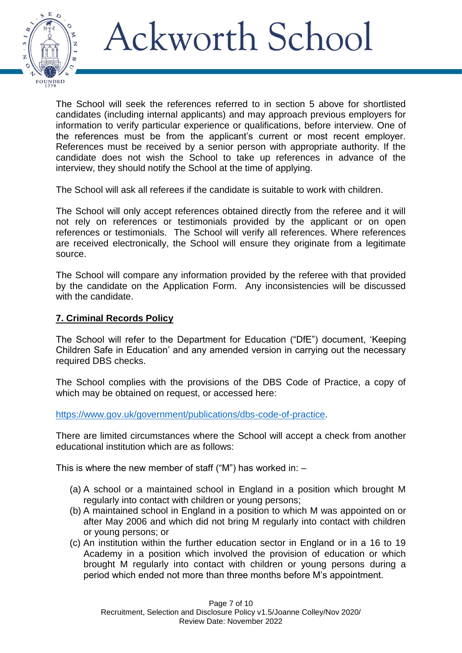

The School will seek the references referred to in section 5 above for shortlisted candidates (including internal applicants) and may approach previous employers for information to verify particular experience or qualifications, before interview. One of the references must be from the applicant's current or most recent employer. References must be received by a senior person with appropriate authority. If the candidate does not wish the School to take up references in advance of the interview, they should notify the School at the time of applying.

The School will ask all referees if the candidate is suitable to work with children.

The School will only accept references obtained directly from the referee and it will not rely on references or testimonials provided by the applicant or on open references or testimonials. The School will verify all references. Where references are received electronically, the School will ensure they originate from a legitimate source.

The School will compare any information provided by the referee with that provided by the candidate on the Application Form. Any inconsistencies will be discussed with the candidate.

### **7. Criminal Records Policy**

The School will refer to the Department for Education ("DfE") document, 'Keeping Children Safe in Education' and any amended version in carrying out the necessary required DBS checks.

The School complies with the provisions of the DBS Code of Practice, a copy of which may be obtained on request, or accessed here:

[https://www.gov.uk/government/publications/dbs-code-of-practice.](https://www.gov.uk/government/publications/dbs-code-of-practice)

There are limited circumstances where the School will accept a check from another educational institution which are as follows:

This is where the new member of staff ("M") has worked in:  $-$ 

- (a) A school or a maintained school in England in a position which brought M regularly into contact with children or young persons;
- (b) A maintained school in England in a position to which M was appointed on or after May 2006 and which did not bring M regularly into contact with children or young persons; or
- (c) An institution within the further education sector in England or in a 16 to 19 Academy in a position which involved the provision of education or which brought M regularly into contact with children or young persons during a period which ended not more than three months before M's appointment.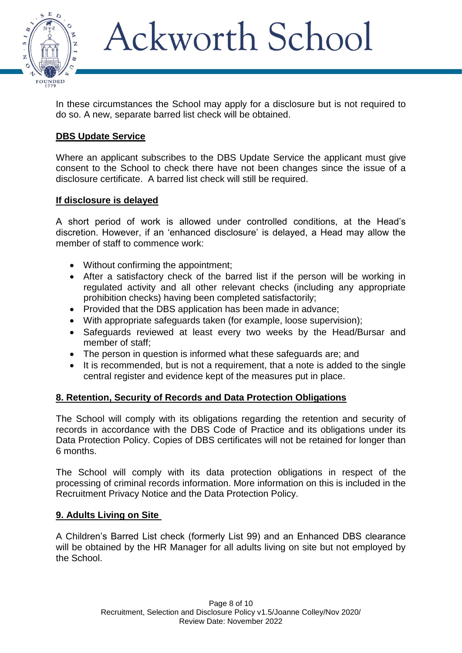

In these circumstances the School may apply for a disclosure but is not required to do so. A new, separate barred list check will be obtained.

### **DBS Update Service**

Where an applicant subscribes to the DBS Update Service the applicant must give consent to the School to check there have not been changes since the issue of a disclosure certificate. A barred list check will still be required.

#### **If disclosure is delayed**

A short period of work is allowed under controlled conditions, at the Head's discretion. However, if an 'enhanced disclosure' is delayed, a Head may allow the member of staff to commence work:

- Without confirming the appointment;
- After a satisfactory check of the barred list if the person will be working in regulated activity and all other relevant checks (including any appropriate prohibition checks) having been completed satisfactorily;
- Provided that the DBS application has been made in advance;
- With appropriate safeguards taken (for example, loose supervision);
- Safeguards reviewed at least every two weeks by the Head/Bursar and member of staff;
- The person in question is informed what these safeguards are; and
- It is recommended, but is not a requirement, that a note is added to the single central register and evidence kept of the measures put in place.

### **8. Retention, Security of Records and Data Protection Obligations**

The School will comply with its obligations regarding the retention and security of records in accordance with the DBS Code of Practice and its obligations under its Data Protection Policy. Copies of DBS certificates will not be retained for longer than 6 months.

The School will comply with its data protection obligations in respect of the processing of criminal records information. More information on this is included in the Recruitment Privacy Notice and the Data Protection Policy.

#### **9. Adults Living on Site**

A Children's Barred List check (formerly List 99) and an Enhanced DBS clearance will be obtained by the HR Manager for all adults living on site but not employed by the School.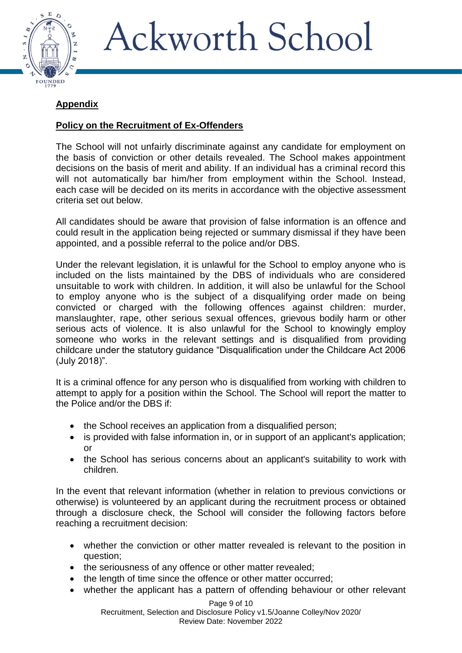

### **Appendix**

### **Policy on the Recruitment of Ex-Offenders**

The School will not unfairly discriminate against any candidate for employment on the basis of conviction or other details revealed. The School makes appointment decisions on the basis of merit and ability. If an individual has a criminal record this will not automatically bar him/her from employment within the School. Instead, each case will be decided on its merits in accordance with the objective assessment criteria set out below.

All candidates should be aware that provision of false information is an offence and could result in the application being rejected or summary dismissal if they have been appointed, and a possible referral to the police and/or DBS.

Under the relevant legislation, it is unlawful for the School to employ anyone who is included on the lists maintained by the DBS of individuals who are considered unsuitable to work with children. In addition, it will also be unlawful for the School to employ anyone who is the subject of a disqualifying order made on being convicted or charged with the following offences against children: murder, manslaughter, rape, other serious sexual offences, grievous bodily harm or other serious acts of violence. It is also unlawful for the School to knowingly employ someone who works in the relevant settings and is disqualified from providing childcare under the statutory guidance "Disqualification under the Childcare Act 2006 (July 2018)".

It is a criminal offence for any person who is disqualified from working with children to attempt to apply for a position within the School. The School will report the matter to the Police and/or the DBS if:

- the School receives an application from a disqualified person;
- is provided with false information in, or in support of an applicant's application; or
- the School has serious concerns about an applicant's suitability to work with children.

In the event that relevant information (whether in relation to previous convictions or otherwise) is volunteered by an applicant during the recruitment process or obtained through a disclosure check, the School will consider the following factors before reaching a recruitment decision:

- whether the conviction or other matter revealed is relevant to the position in question;
- the seriousness of any offence or other matter revealed:
- the length of time since the offence or other matter occurred;
- whether the applicant has a pattern of offending behaviour or other relevant